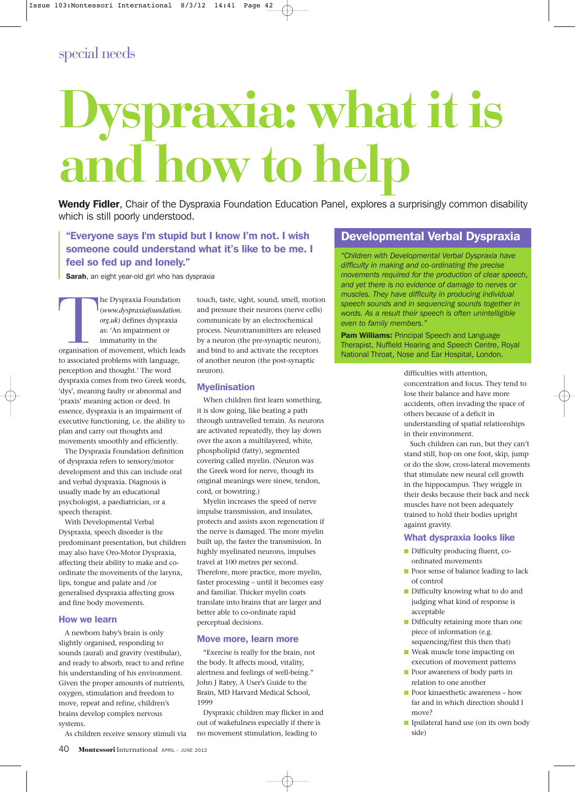# praxia: what it is how to help

Wendy Fidler, Chair of the Dyspraxia Foundation Education Panel, explores a surprisingly common disability which is still poorly understood.

# "Everyone says I'm stupid but I know I'm not. I wish someone could understand what it's like to be me. I feel so fed up and lonely."

Sarah, an eight year-old girl who has dyspraxia

The Dyspraxia Foundation<br>
(www.dyspraxiafoundation.<br>
org.uk) defines dyspraxia<br>
as: 'An impairment or<br>
immaturity in the<br>
organisation of movement, which leads<br>
to associated problems with lapsus se (*www.dyspraxiafoundation. org.uk*) defines dyspraxia as: 'An impairment or immaturity in the to associated problems with language, perception and thought.' The word dyspraxia comes from two Greek words, 'dys', meaning faulty or abnormal and 'praxis' meaning action or deed. In essence, dyspraxia is an impairment of executive functioning, i.e. the ability to plan and carry out thoughts and movements smoothly and efficiently.

The Dyspraxia Foundation definition of dyspraxia refers to sensory/motor development and this can include oral and verbal dyspraxia. Diagnosis is usually made by an educational psychologist, a paediatrician, or a speech therapist.

With Developmental Verbal Dyspraxia, speech disorder is the predominant presentation, but children may also have Oro-Motor Dyspraxia, affecting their ability to make and coordinate the movements of the larynx, lips, tongue and palate and /or generalised dyspraxia affecting gross and fine body movements.

#### How we learn

A newborn baby's brain is only slightly organised, responding to sounds (aural) and gravity (vestibular), and ready to absorb, react to and refine his understanding of his environment. Given the proper amounts of nutrients, oxygen, stimulation and freedom to move, repeat and refine, children's brains develop complex nervous systems.

touch, taste, sight, sound, smell, motion and pressure their neurons (nerve cells) communicate by an electrochemical process. Neurotransmitters are released by a neuron (the pre-synaptic neuron), and bind to and activate the receptors of another neuron (the post-synaptic neuron).

## Myelinisation

When children first learn something, it is slow going, like beating a path through untravelled terrain. As neurons are activated repeatedly, they lay down over the axon a multilayered, white, phospholipid (fatty), segmented covering called myelin. (Neuron was the Greek word for nerve, though its original meanings were sinew, tendon, cord, or bowstring.)

Myelin increases the speed of nerve impulse transmission, and insulates, protects and assists axon regeneration if the nerve is damaged. The more myelin built up, the faster the transmission. In highly myelinated neurons, impulses travel at 100 metres per second. Therefore, more practice, more myelin, faster processing – until it becomes easy and familiar. Thicker myelin coats translate into brains that are larger and better able to co-ordinate rapid perceptual decisions.

#### Move more, learn more

"Exercise is really for the brain, not the body. It affects mood, vitality, alertness and feelings of well-being." John J Ratey, A User's Guide to the Brain, MD Harvard Medical School, 1999

Dyspraxic children may flicker in and out of wakefulness especially if there is no movement stimulation, leading to

# Developmental Verbal Dyspraxia

*"Children with Developmental Verbal Dyspraxia have difficulty in making and co-ordinating the precise movements required for the production of clear speech, and yet there is no evidence of damage to nerves or muscles. They have difficulty in producing individual speech sounds and in sequencing sounds together in words. As a result their speech is often unintelligible even to family members."* 

Pam Williams: Principal Speech and Language Therapist, Nuffield Hearing and Speech Centre, Royal National Throat, Nose and Ear Hospital, London.

> difficulties with attention, concentration and focus. They tend to lose their balance and have more accidents, often invading the space of others because of a deficit in understanding of spatial relationships in their environment.

Such children can run, but they can't stand still, hop on one foot, skip, jump or do the slow, cross-lateral movements that stimulate new neural cell growth in the hippocampus. They wriggle in their desks because their back and neck muscles have not been adequately trained to hold their bodies upright against gravity.

# What dyspraxia looks like

- Difficulty producing fluent, coordinated movements
- Poor sense of balance leading to lack of control
- **Difficulty knowing what to do and** judging what kind of response is acceptable
- **Difficulty retaining more than one** piece of information (e.g. sequencing/first this then that)
- Weak muscle tone impacting on
- execution of movement patterns **Poor awareness of body parts in** relation to one another
- **Poor kinaesthetic awareness how** far and in which direction should I move?
- Ipsilateral hand use (on its own body side)

As children receive sensory stimuli via